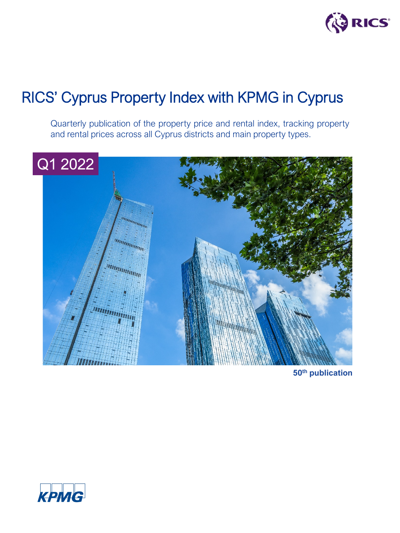

Quarterly publication of the property price and rental index, tracking property and rental prices across all Cyprus districts and main property types.



**50th publication**

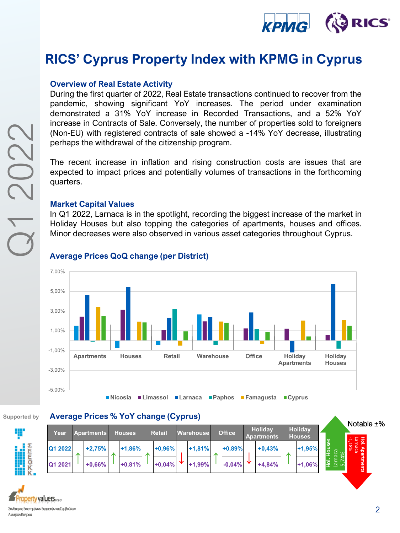

#### **Overview of Real Estate Activity**

During the first quarter of 2022, Real Estate transactions continued to recover from the pandemic, showing significant YoY increases. The period under examination demonstrated a 31% YoY increase in Recorded Transactions, and a 52% YoY increase in Contracts of Sale. Conversely, the number of properties sold to foreigners (Non-EU) with registered contracts of sale showed a -14% YoY decrease, illustrating perhaps the withdrawal of the citizenship program.

The recent increase in inflation and rising construction costs are issues that are expected to impact prices and potentially volumes of transactions in the forthcoming quarters.

#### **Market Capital Values**

In Q1 2022, Larnaca is in the spotlight, recording the biggest increase of the market in Holiday Houses but also topping the categories of apartments, houses and offices. Minor decreases were also observed in various asset categories throughout Cyprus.



#### **Average Prices QoQ change (per District)**

#### **Supported by Average Prices % YoY change (Cyprus)**

|                           |  |               |  |               |  |                  |  |               |  |                                     |   |                                 |            |          | Notable $\pm\%$                    |                                      |
|---------------------------|--|---------------|--|---------------|--|------------------|--|---------------|--|-------------------------------------|---|---------------------------------|------------|----------|------------------------------------|--------------------------------------|
| Year<br><b>Apartments</b> |  | <b>Houses</b> |  | <b>Retail</b> |  | <b>Warehouse</b> |  | <b>Office</b> |  | <b>Holidav</b><br><b>Apartments</b> |   | <b>Holidav</b><br><b>Houses</b> |            |          |                                    |                                      |
| Q1 2022                   |  | $+2,75%$      |  | $+1,86%$      |  | $+0.96%$         |  | $+1,81%$      |  | $+0.89%$                            |   | $+0,43%$                        | $\sqrt{2}$ | $+1,95%$ | uses<br>පි<br>ω                    | <b>Hol. Apa</b><br>Larnaca<br>-1,18% |
| Q1 2021                   |  | $+0,66%$      |  | $+0,81%$      |  | $+0,04%$         |  | $+1,99%$      |  | $-0.04%$                            | ∼ | $+4.84%$                        |            | $+1,06%$ | 훈<br>$\overline{\mathbb{P}}$<br>ഥി | tments                               |
|                           |  |               |  |               |  |                  |  |               |  |                                     |   |                                 |            |          |                                    |                                      |

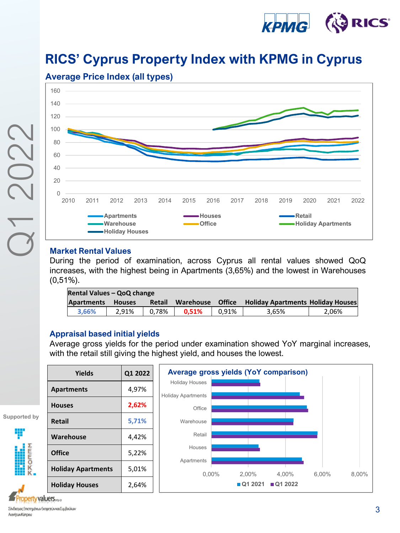



#### **Market Rental Values**

During the period of examination, across Cyprus all rental values showed QoQ increases, with the highest being in Apartments (3,65%) and the lowest in Warehouses (0,51%).

| Rental Values - QoQ change |               |        |           |               |                                          |       |  |  |  |  |
|----------------------------|---------------|--------|-----------|---------------|------------------------------------------|-------|--|--|--|--|
| <b>Apartments</b>          | <b>Houses</b> | Retail | Warehouse | <b>Office</b> | <b>Holiday Apartments Holiday Houses</b> |       |  |  |  |  |
| 3.66%                      | 2.91%         | 0.78%  | 0.51%     | 0.91%         | 3.65%                                    | 2.06% |  |  |  |  |

### **Appraisal based initial yields**

Average gross yields for the period under examination showed YoY marginal increases, with the retail still giving the highest yield, and houses the lowest.

| <b>Yields</b>             | Q1 2022 |                                     | Average gross yields (YoY comparison) |           |       |       |
|---------------------------|---------|-------------------------------------|---------------------------------------|-----------|-------|-------|
| Apartments                | 4,97%   | <b>Holiday Houses</b>               |                                       |           |       |       |
| <b>Houses</b>             | 2,62%   | <b>Holiday Apartments</b><br>Office |                                       |           |       |       |
| <b>Retail</b>             | 5,71%   | Warehouse                           |                                       |           |       |       |
| Warehouse                 | 4,42%   | Retail                              |                                       |           |       |       |
| <b>Office</b>             | 5,22%   | Houses                              |                                       |           |       |       |
| <b>Holiday Apartments</b> | 5,01%   | Apartments<br>$0.00\%$              | 2.00%                                 | 4.00%     | 6.00% | 8.00% |
| <b>Holiday Houses</b>     | 2,64%   |                                     | ■Q1 2021                              | ■ Q1 2022 |       |       |

**Supported by**

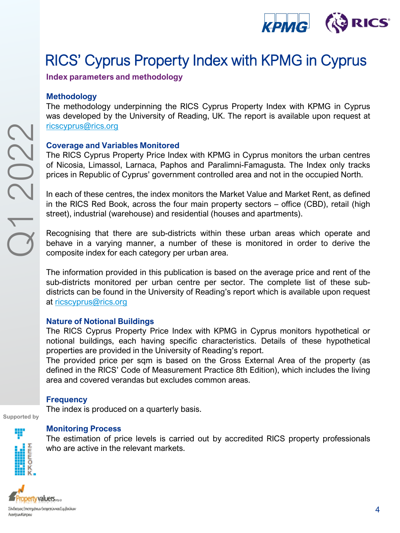

**Index parameters and methodology**

#### **Methodology**

The methodology underpinning the RICS Cyprus Property Index with KPMG in Cyprus was developed by the University of Reading, UK. The report is available upon request at [ricscyprus@rics.org](mailto:ricscyprus@rics.org)

#### **Coverage and Variables Monitored**

The RICS Cyprus Property Price Index with KPMG in Cyprus monitors the urban centres of Nicosia, Limassol, Larnaca, Paphos and Paralimni-Famagusta. The Index only tracks prices in Republic of Cyprus' government controlled area and not in the occupied North.

In each of these centres, the index monitors the Market Value and Market Rent, as defined in the RICS Red Book, across the four main property sectors – office (CBD), retail (high street), industrial (warehouse) and residential (houses and apartments).

Recognising that there are sub-districts within these urban areas which operate and behave in a varying manner, a number of these is monitored in order to derive the composite index for each category per urban area.

The information provided in this publication is based on the average price and rent of the sub-districts monitored per urban centre per sector. The complete list of these subdistricts can be found in the University of Reading's report which is available upon request at [ricscyprus@rics.org](mailto:ricscyprus@rics.org)

#### **Nature of Notional Buildings**

The RICS Cyprus Property Price Index with KPMG in Cyprus monitors hypothetical or notional buildings, each having specific characteristics. Details of these hypothetical properties are provided in the University of Reading's report.

The provided price per sqm is based on the Gross External Area of the property (as defined in the RICS' Code of Measurement Practice 8th Edition), which includes the living area and covered verandas but excludes common areas.

### **Frequency**

The index is produced on a quarterly basis.

Supported by



#### **Monitoring Process**

The estimation of price levels is carried out by accredited RICS property professionals who are active in the relevant markets.